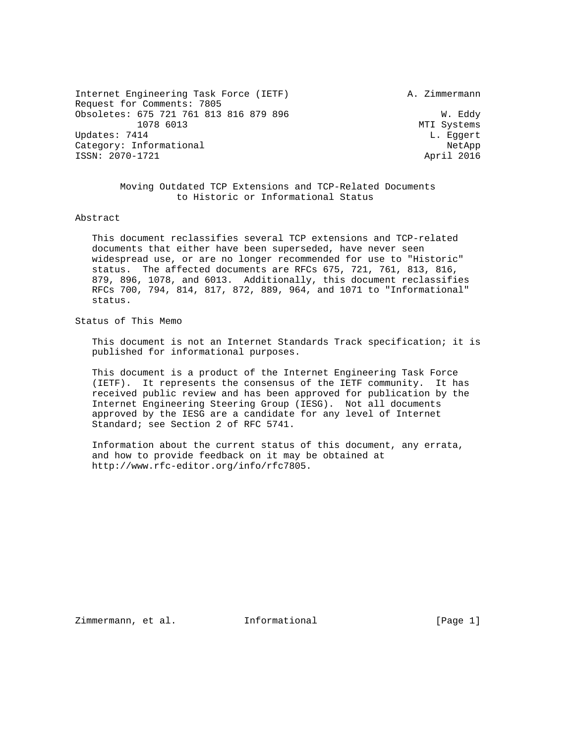Internet Engineering Task Force (IETF) A. Zimmermann Request for Comments: 7805 Obsoletes: 675 721 761 813 816 879 896 W. Eddy 1078 6013 MTI Systems Updates: 7414 L. Eggert Category: Informational  $\blacksquare$ ISSN: 2070-1721 April 2016

 Moving Outdated TCP Extensions and TCP-Related Documents to Historic or Informational Status

#### Abstract

 This document reclassifies several TCP extensions and TCP-related documents that either have been superseded, have never seen widespread use, or are no longer recommended for use to "Historic" status. The affected documents are RFCs 675, 721, 761, 813, 816, 879, 896, 1078, and 6013. Additionally, this document reclassifies RFCs 700, 794, 814, 817, 872, 889, 964, and 1071 to "Informational" status.

# Status of This Memo

 This document is not an Internet Standards Track specification; it is published for informational purposes.

 This document is a product of the Internet Engineering Task Force (IETF). It represents the consensus of the IETF community. It has received public review and has been approved for publication by the Internet Engineering Steering Group (IESG). Not all documents approved by the IESG are a candidate for any level of Internet Standard; see Section 2 of RFC 5741.

 Information about the current status of this document, any errata, and how to provide feedback on it may be obtained at http://www.rfc-editor.org/info/rfc7805.

Zimmermann, et al. Informational [Page 1]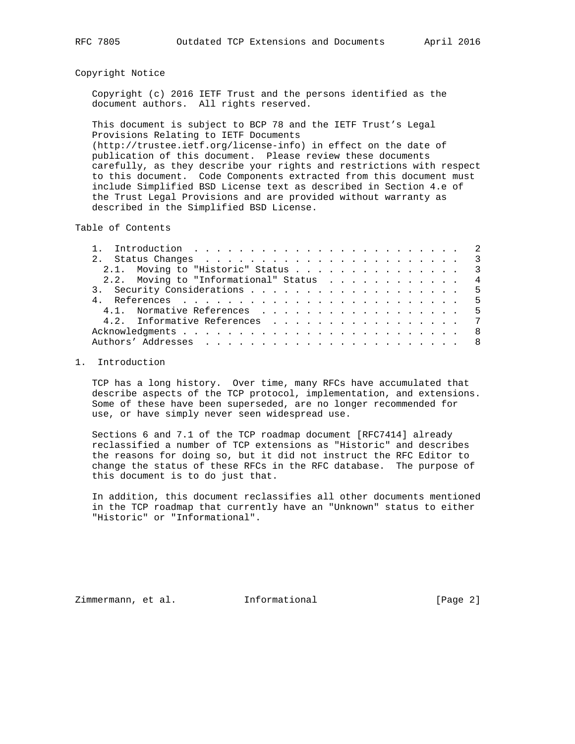### Copyright Notice

 Copyright (c) 2016 IETF Trust and the persons identified as the document authors. All rights reserved.

 This document is subject to BCP 78 and the IETF Trust's Legal Provisions Relating to IETF Documents (http://trustee.ietf.org/license-info) in effect on the date of publication of this document. Please review these documents carefully, as they describe your rights and restrictions with respect to this document. Code Components extracted from this document must include Simplified BSD License text as described in Section 4.e of the Trust Legal Provisions and are provided without warranty as described in the Simplified BSD License.

Table of Contents

| 2.1. Moving to "Historic" Status 3      |  |
|-----------------------------------------|--|
| 2.2. Moving to "Informational" Status 4 |  |
|                                         |  |
|                                         |  |
| 4.1. Normative References 5             |  |
| 4.2. Informative References 7           |  |
|                                         |  |
|                                         |  |

#### 1. Introduction

 TCP has a long history. Over time, many RFCs have accumulated that describe aspects of the TCP protocol, implementation, and extensions. Some of these have been superseded, are no longer recommended for use, or have simply never seen widespread use.

 Sections 6 and 7.1 of the TCP roadmap document [RFC7414] already reclassified a number of TCP extensions as "Historic" and describes the reasons for doing so, but it did not instruct the RFC Editor to change the status of these RFCs in the RFC database. The purpose of this document is to do just that.

 In addition, this document reclassifies all other documents mentioned in the TCP roadmap that currently have an "Unknown" status to either "Historic" or "Informational".

Zimmermann, et al. Informational [Page 2]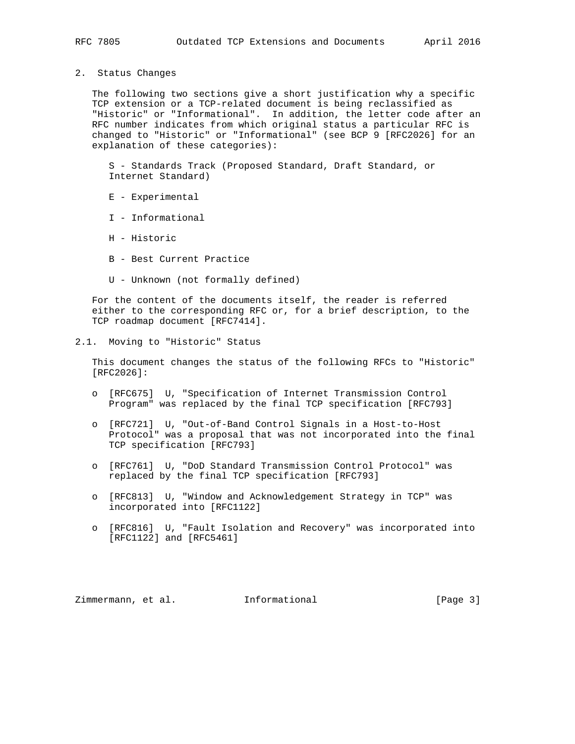2. Status Changes

 The following two sections give a short justification why a specific TCP extension or a TCP-related document is being reclassified as "Historic" or "Informational". In addition, the letter code after an RFC number indicates from which original status a particular RFC is changed to "Historic" or "Informational" (see BCP 9 [RFC2026] for an explanation of these categories):

 S - Standards Track (Proposed Standard, Draft Standard, or Internet Standard)

- E Experimental
- I Informational
- H Historic
- B Best Current Practice
- U Unknown (not formally defined)

 For the content of the documents itself, the reader is referred either to the corresponding RFC or, for a brief description, to the TCP roadmap document [RFC7414].

2.1. Moving to "Historic" Status

 This document changes the status of the following RFCs to "Historic" [RFC2026]:

- o [RFC675] U, "Specification of Internet Transmission Control Program" was replaced by the final TCP specification [RFC793]
- o [RFC721] U, "Out-of-Band Control Signals in a Host-to-Host Protocol" was a proposal that was not incorporated into the final TCP specification [RFC793]
- o [RFC761] U, "DoD Standard Transmission Control Protocol" was replaced by the final TCP specification [RFC793]
- o [RFC813] U, "Window and Acknowledgement Strategy in TCP" was incorporated into [RFC1122]
- o [RFC816] U, "Fault Isolation and Recovery" was incorporated into [RFC1122] and [RFC5461]

Zimmermann, et al. Informational [Page 3]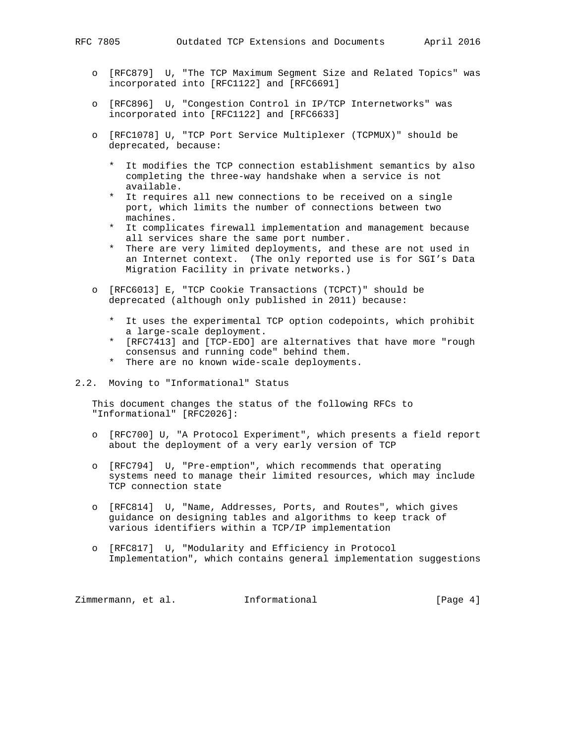- 
- o [RFC879] U, "The TCP Maximum Segment Size and Related Topics" was incorporated into [RFC1122] and [RFC6691]
- o [RFC896] U, "Congestion Control in IP/TCP Internetworks" was incorporated into [RFC1122] and [RFC6633]
- o [RFC1078] U, "TCP Port Service Multiplexer (TCPMUX)" should be deprecated, because:
	- \* It modifies the TCP connection establishment semantics by also completing the three-way handshake when a service is not available.
	- \* It requires all new connections to be received on a single port, which limits the number of connections between two machines.
	- \* It complicates firewall implementation and management because all services share the same port number.
	- \* There are very limited deployments, and these are not used in an Internet context. (The only reported use is for SGI's Data Migration Facility in private networks.)
- o [RFC6013] E, "TCP Cookie Transactions (TCPCT)" should be deprecated (although only published in 2011) because:
	- \* It uses the experimental TCP option codepoints, which prohibit a large-scale deployment.
	- \* [RFC7413] and [TCP-EDO] are alternatives that have more "rough consensus and running code" behind them.
	- \* There are no known wide-scale deployments.

#### 2.2. Moving to "Informational" Status

 This document changes the status of the following RFCs to "Informational" [RFC2026]:

- o [RFC700] U, "A Protocol Experiment", which presents a field report about the deployment of a very early version of TCP
- o [RFC794] U, "Pre-emption", which recommends that operating systems need to manage their limited resources, which may include TCP connection state
- o [RFC814] U, "Name, Addresses, Ports, and Routes", which gives guidance on designing tables and algorithms to keep track of various identifiers within a TCP/IP implementation
- o [RFC817] U, "Modularity and Efficiency in Protocol Implementation", which contains general implementation suggestions

Zimmermann, et al. Informational [Page 4]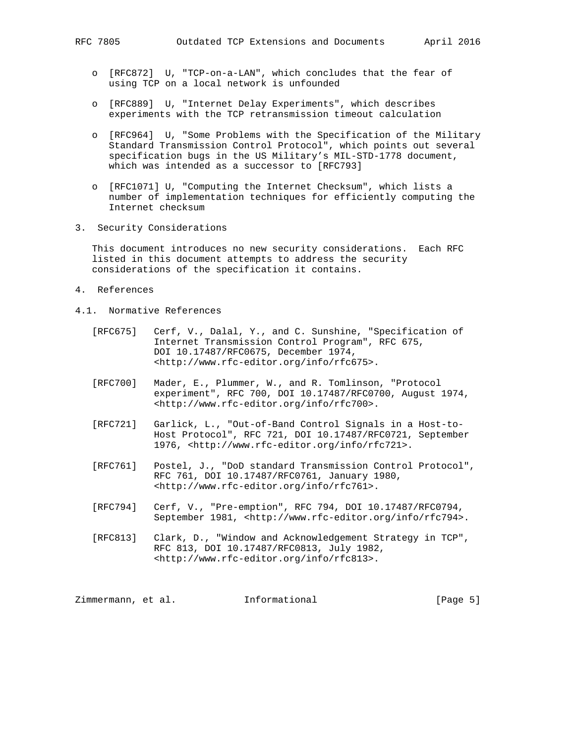- o [RFC872] U, "TCP-on-a-LAN", which concludes that the fear of using TCP on a local network is unfounded
- o [RFC889] U, "Internet Delay Experiments", which describes experiments with the TCP retransmission timeout calculation
- o [RFC964] U, "Some Problems with the Specification of the Military Standard Transmission Control Protocol", which points out several specification bugs in the US Military's MIL-STD-1778 document, which was intended as a successor to [RFC793]
- o [RFC1071] U, "Computing the Internet Checksum", which lists a number of implementation techniques for efficiently computing the Internet checksum
- 3. Security Considerations

 This document introduces no new security considerations. Each RFC listed in this document attempts to address the security considerations of the specification it contains.

- 4. References
- 4.1. Normative References
	- [RFC675] Cerf, V., Dalal, Y., and C. Sunshine, "Specification of Internet Transmission Control Program", RFC 675, DOI 10.17487/RFC0675, December 1974, <http://www.rfc-editor.org/info/rfc675>.
	- [RFC700] Mader, E., Plummer, W., and R. Tomlinson, "Protocol experiment", RFC 700, DOI 10.17487/RFC0700, August 1974, <http://www.rfc-editor.org/info/rfc700>.
	- [RFC721] Garlick, L., "Out-of-Band Control Signals in a Host-to- Host Protocol", RFC 721, DOI 10.17487/RFC0721, September 1976, <http://www.rfc-editor.org/info/rfc721>.
	- [RFC761] Postel, J., "DoD standard Transmission Control Protocol", RFC 761, DOI 10.17487/RFC0761, January 1980, <http://www.rfc-editor.org/info/rfc761>.
	- [RFC794] Cerf, V., "Pre-emption", RFC 794, DOI 10.17487/RFC0794, September 1981, <http://www.rfc-editor.org/info/rfc794>.
	- [RFC813] Clark, D., "Window and Acknowledgement Strategy in TCP", RFC 813, DOI 10.17487/RFC0813, July 1982, <http://www.rfc-editor.org/info/rfc813>.

Zimmermann, et al. Informational [Page 5]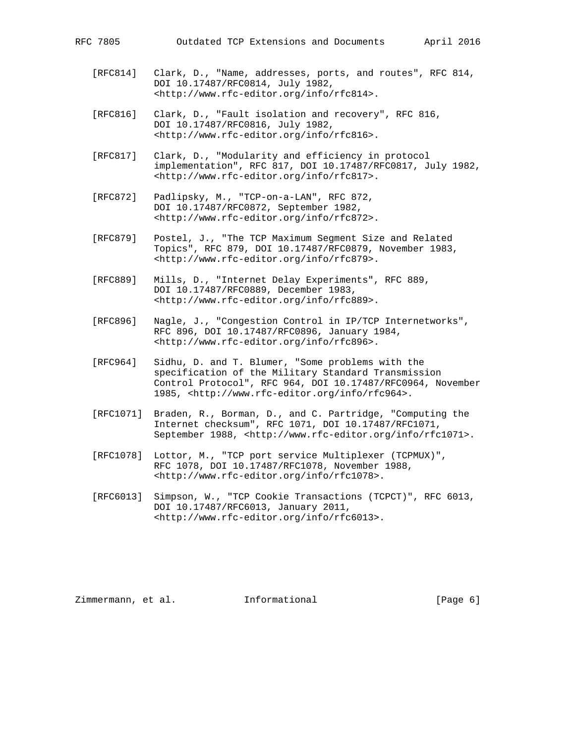- [RFC814] Clark, D., "Name, addresses, ports, and routes", RFC 814, DOI 10.17487/RFC0814, July 1982, <http://www.rfc-editor.org/info/rfc814>.
- [RFC816] Clark, D., "Fault isolation and recovery", RFC 816, DOI 10.17487/RFC0816, July 1982, <http://www.rfc-editor.org/info/rfc816>.
- [RFC817] Clark, D., "Modularity and efficiency in protocol implementation", RFC 817, DOI 10.17487/RFC0817, July 1982, <http://www.rfc-editor.org/info/rfc817>.
- [RFC872] Padlipsky, M., "TCP-on-a-LAN", RFC 872, DOI 10.17487/RFC0872, September 1982, <http://www.rfc-editor.org/info/rfc872>.
- [RFC879] Postel, J., "The TCP Maximum Segment Size and Related Topics", RFC 879, DOI 10.17487/RFC0879, November 1983, <http://www.rfc-editor.org/info/rfc879>.
- [RFC889] Mills, D., "Internet Delay Experiments", RFC 889, DOI 10.17487/RFC0889, December 1983, <http://www.rfc-editor.org/info/rfc889>.
- [RFC896] Nagle, J., "Congestion Control in IP/TCP Internetworks", RFC 896, DOI 10.17487/RFC0896, January 1984, <http://www.rfc-editor.org/info/rfc896>.
- [RFC964] Sidhu, D. and T. Blumer, "Some problems with the specification of the Military Standard Transmission Control Protocol", RFC 964, DOI 10.17487/RFC0964, November 1985, <http://www.rfc-editor.org/info/rfc964>.
- [RFC1071] Braden, R., Borman, D., and C. Partridge, "Computing the Internet checksum", RFC 1071, DOI 10.17487/RFC1071, September 1988, <http://www.rfc-editor.org/info/rfc1071>.
- [RFC1078] Lottor, M., "TCP port service Multiplexer (TCPMUX)", RFC 1078, DOI 10.17487/RFC1078, November 1988, <http://www.rfc-editor.org/info/rfc1078>.
- [RFC6013] Simpson, W., "TCP Cookie Transactions (TCPCT)", RFC 6013, DOI 10.17487/RFC6013, January 2011, <http://www.rfc-editor.org/info/rfc6013>.

Zimmermann, et al. Informational [Page 6]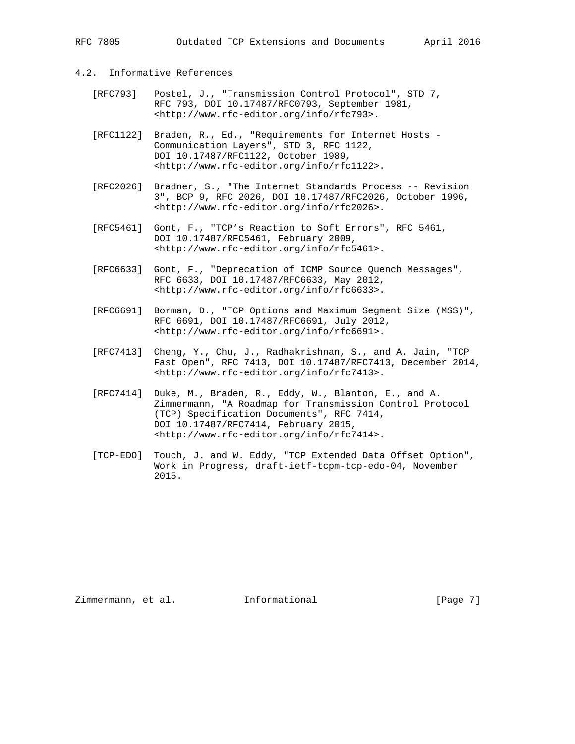## 4.2. Informative References

- [RFC793] Postel, J., "Transmission Control Protocol", STD 7, RFC 793, DOI 10.17487/RFC0793, September 1981, <http://www.rfc-editor.org/info/rfc793>.
- [RFC1122] Braden, R., Ed., "Requirements for Internet Hosts Communication Layers", STD 3, RFC 1122, DOI 10.17487/RFC1122, October 1989, <http://www.rfc-editor.org/info/rfc1122>.
- [RFC2026] Bradner, S., "The Internet Standards Process -- Revision 3", BCP 9, RFC 2026, DOI 10.17487/RFC2026, October 1996, <http://www.rfc-editor.org/info/rfc2026>.
- [RFC5461] Gont, F., "TCP's Reaction to Soft Errors", RFC 5461, DOI 10.17487/RFC5461, February 2009, <http://www.rfc-editor.org/info/rfc5461>.
- [RFC6633] Gont, F., "Deprecation of ICMP Source Quench Messages", RFC 6633, DOI 10.17487/RFC6633, May 2012, <http://www.rfc-editor.org/info/rfc6633>.
- [RFC6691] Borman, D., "TCP Options and Maximum Segment Size (MSS)", RFC 6691, DOI 10.17487/RFC6691, July 2012, <http://www.rfc-editor.org/info/rfc6691>.
- [RFC7413] Cheng, Y., Chu, J., Radhakrishnan, S., and A. Jain, "TCP Fast Open", RFC 7413, DOI 10.17487/RFC7413, December 2014, <http://www.rfc-editor.org/info/rfc7413>.
- [RFC7414] Duke, M., Braden, R., Eddy, W., Blanton, E., and A. Zimmermann, "A Roadmap for Transmission Control Protocol (TCP) Specification Documents", RFC 7414, DOI 10.17487/RFC7414, February 2015, <http://www.rfc-editor.org/info/rfc7414>.
- [TCP-EDO] Touch, J. and W. Eddy, "TCP Extended Data Offset Option", Work in Progress, draft-ietf-tcpm-tcp-edo-04, November 2015.